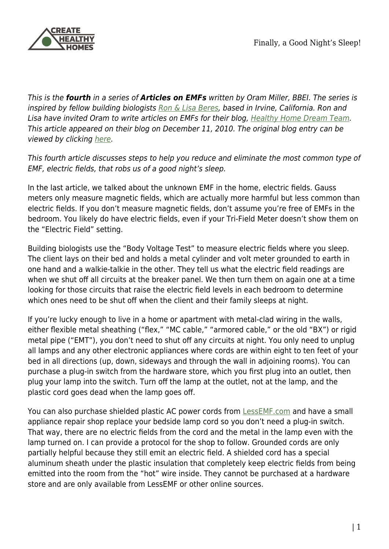

This is the *fourth* in a series of *Articles on EMFs* written by Oram Miller, BBEI. The series is inspired by fellow building biologists [Ron & Lisa Beres](http://ronandlisa.com/), based in Irvine, California. Ron and Lisa have invited Oram to write articles on EMFs for their blog, [Healthy Home Dream Team](http://ronandlisa.com/). This article appeared on their blog on December 11, 2010. The original blog entry can be viewed by clicking [here.](http://ronandlisa.com/2010/12/11/finally-a-good-nights-sleep-and-a-healthier-ho-ho-home/)

This fourth article discusses steps to help you reduce and eliminate the most common type of EMF, electric fields, that robs us of a good night's sleep.

In the last article, we talked about the unknown EMF in the home, electric fields. Gauss meters only measure magnetic fields, which are actually more harmful but less common than electric fields. If you don't measure magnetic fields, don't assume you're free of EMFs in the bedroom. You likely do have electric fields, even if your Tri-Field Meter doesn't show them on the "Electric Field" setting.

Building biologists use the "Body Voltage Test" to measure electric fields where you sleep. The client lays on their bed and holds a metal cylinder and volt meter grounded to earth in one hand and a walkie-talkie in the other. They tell us what the electric field readings are when we shut off all circuits at the breaker panel. We then turn them on again one at a time looking for those circuits that raise the electric field levels in each bedroom to determine which ones need to be shut off when the client and their family sleeps at night.

If you're lucky enough to live in a home or apartment with metal-clad wiring in the walls, either flexible metal sheathing ("flex," "MC cable," "armored cable," or the old "BX") or rigid metal pipe ("EMT"), you don't need to shut off any circuits at night. You only need to unplug all lamps and any other electronic appliances where cords are within eight to ten feet of your bed in all directions (up, down, sideways and through the wall in adjoining rooms). You can purchase a plug-in switch from the hardware store, which you first plug into an outlet, then plug your lamp into the switch. Turn off the lamp at the outlet, not at the lamp, and the plastic cord goes dead when the lamp goes off.

You can also purchase shielded plastic AC power cords from [LessEMF.com](http://www.lessemf.com/) and have a small appliance repair shop replace your bedside lamp cord so you don't need a plug-in switch. That way, there are no electric fields from the cord and the metal in the lamp even with the lamp turned on. I can provide a protocol for the shop to follow. Grounded cords are only partially helpful because they still emit an electric field. A shielded cord has a special aluminum sheath under the plastic insulation that completely keep electric fields from being emitted into the room from the "hot" wire inside. They cannot be purchased at a hardware store and are only available from LessEMF or other online sources.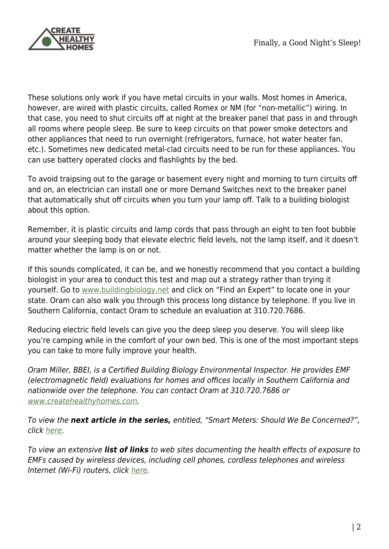

These solutions only work if you have metal circuits in your walls. Most homes in America, however, are wired with plastic circuits, called Romex or NM (for "non-metallic") wiring. In that case, you need to shut circuits off at night at the breaker panel that pass in and through all rooms where people sleep. Be sure to keep circuits on that power smoke detectors and other appliances that need to run overnight (refrigerators, furnace, hot water heater fan, etc.). Sometimes new dedicated metal-clad circuits need to be run for these appliances. You can use battery operated clocks and flashlights by the bed.

To avoid traipsing out to the garage or basement every night and morning to turn circuits off and on, an electrician can install one or more Demand Switches next to the breaker panel that automatically shut off circuits when you turn your lamp off. Talk to a building biologist about this option.

Remember, it is plastic circuits and lamp cords that pass through an eight to ten foot bubble around your sleeping body that elevate electric field levels, not the lamp itself, and it doesn't matter whether the lamp is on or not.

If this sounds complicated, it can be, and we honestly recommend that you contact a building biologist in your area to conduct this test and map out a strategy rather than trying it yourself. Go to [www.buildingbiology.net](http://www.buildingbiology.net/) and click on "Find an Expert" to locate one in your state. Oram can also walk you through this process long distance by telephone. If you live in Southern California, contact Oram to schedule an evaluation at 310.720.7686.

Reducing electric field levels can give you the deep sleep you deserve. You will sleep like you're camping while in the comfort of your own bed. This is one of the most important steps you can take to more fully improve your health.

Oram Miller, BBEI, is a Certified Building Biology Environmental Inspector. He provides EMF (electromagnetic field) evaluations for homes and offices locally in Southern California and nationwide over the telephone. You can contact Oram at 310.720.7686 or [www.createhealthyhomes.com](https://www.createhealthyhomes.com/).

To view the *next article in the series,* entitled, "Smart Meters: Should We Be Concerned?", click [here.](http://ronandlisa.com/2012/09/04/smart-meters-should-we-be-concerned/)

To view an extensive *list of links* to web sites documenting the health effects of exposure to EMFs caused by wireless devices, including cell phones, cordless telephones and wireless Internet (Wi-Fi) routers, click [here.](https://createhealthyhomes.com/education/cellphone-risks/)